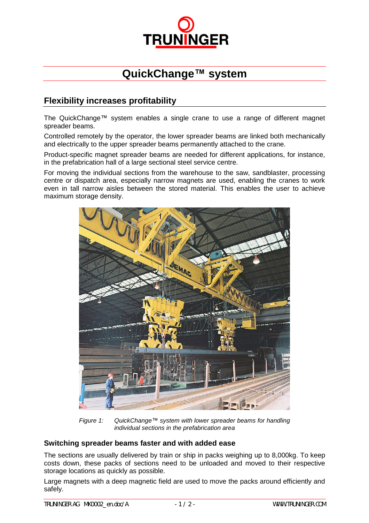

## **QuickChange™ system**

## **Flexibility increases profitability**

The QuickChange™ system enables a single crane to use a range of different magnet spreader beams.

Controlled remotely by the operator, the lower spreader beams are linked both mechanically and electrically to the upper spreader beams permanently attached to the crane.

Product-specific magnet spreader beams are needed for different applications, for instance, in the prefabrication hall of a large sectional steel service centre.

For moving the individual sections from the warehouse to the saw, sandblaster, processing centre or dispatch area, especially narrow magnets are used, enabling the cranes to work even in tall narrow aisles between the stored material. This enables the user to achieve maximum storage density.



*Figure 1: QuickChange™ system with lower spreader beams for handling individual sections in the prefabrication area*

## **Switching spreader beams faster and with added ease**

The sections are usually delivered by train or ship in packs weighing up to 8,000kg. To keep costs down, these packs of sections need to be unloaded and moved to their respective storage locations as quickly as possible.

Large magnets with a deep magnetic field are used to move the packs around efficiently and safely.